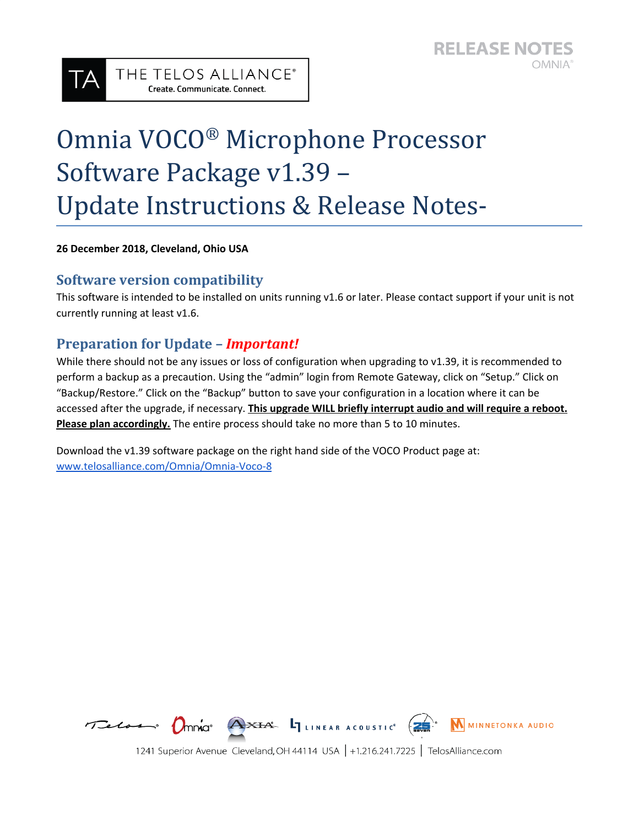# Omnia VOCO ® Microphone Processor Software Package v1.39 – Update Instructions & Release Notes-

**26 December 2018, Cleveland, Ohio USA**

#### **Software version compatibility**

This software is intended to be installed on units running v1.6 or later. Please contact support if your unit is not currently running at least v1.6.

### **Preparation for Update –** *Important!*

THE TELOS ALLIANCE® Create. Communicate. Connect.

While there should not be any issues or loss of configuration when upgrading to v1.39, it is recommended to perform a backup as a precaution. Using the "admin" login from Remote Gateway, click on "Setup." Click on "Backup/Restore." Click on the "Backup" button to save your configuration in a location where it can be accessed after the upgrade, if necessary. **This upgrade WILL briefly interrupt audio and will require a reboot. Please plan accordingly.** The entire process should take no more than 5 to 10 minutes.

Download the v1.39 software package on the right hand side of the VOCO Product page at: [www.telosalliance.com/Omnia/Omnia-Voco-8](http://www.telosalliance.com/Omnia/Omnia-Voco-8)



1241 Superior Avenue Cleveland, OH 44114 USA | +1.216.241.7225 | TelosAlliance.com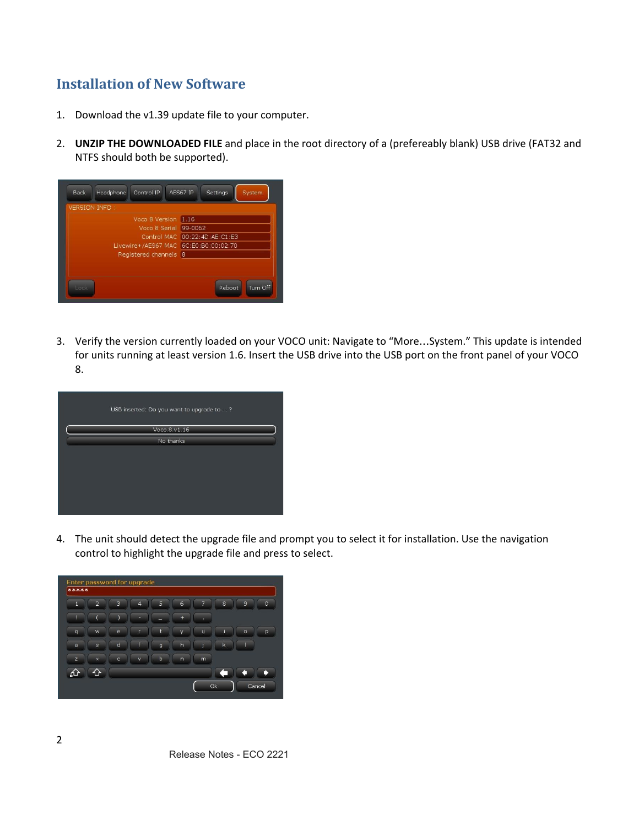## **Installation of New Software**

- 1. Download the v1.39 update file to your computer.
- 2. **UNZIP THE DOWNLOADED FILE** and place in the root directory of a (prefereably blank) USB drive (FAT32 and NTFS should both be supported).

| Control IP<br><b>Back</b><br>Headphone | AES67 IP<br>Settings<br>System |
|----------------------------------------|--------------------------------|
| <b>VERSION INFO:</b>                   |                                |
| Voco 8 Version 1.16                    |                                |
| Voco 8 Serial 99-0062                  |                                |
|                                        | Control MAC 00:22:4D:AE:C1:E3  |
| Livewire+/AES67 MAC 6C:E0:B0:00:02:70  |                                |
| Registered channels 8                  |                                |
|                                        |                                |
| Lock                                   | Turn Off<br>Reboot             |

3. Verify the version currently loaded on your VOCO unit: Navigate to "More…System." This update is intended for units running at least version 1.6. Insert the USB drive into the USB port on the front panel of your VOCO 8.

| USB inserted: Do you want to upgrade to ? |
|-------------------------------------------|
| Voco.8.v1.16                              |
| No thanks                                 |
|                                           |

4. The unit should detect the upgrade file and prompt you to select it for installation. Use the navigation control to highlight the upgrade file and press to select.

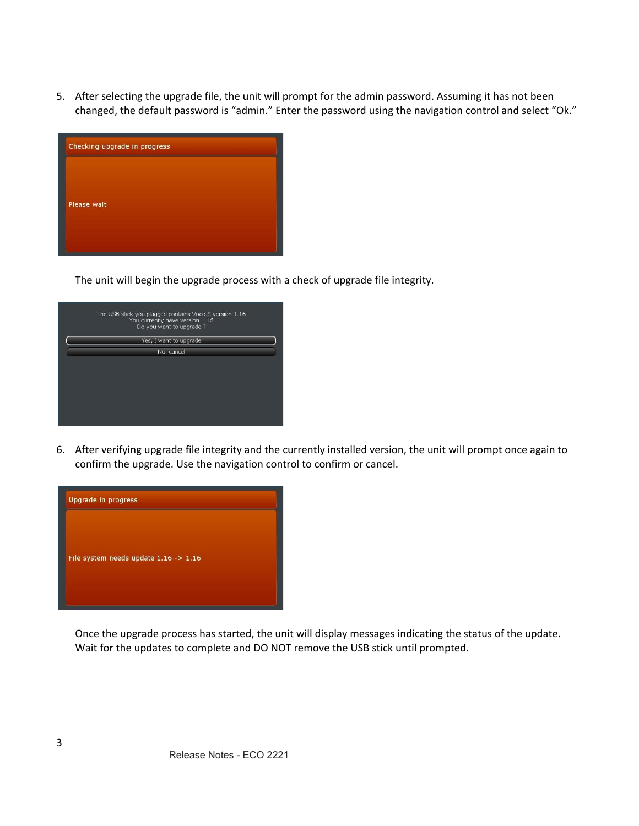5. After selecting the upgrade file, the unit will prompt for the admin password. Assuming it has not been changed, the default password is "admin." Enter the password using the navigation control and select "Ok."



The unit will begin the upgrade process with a check of upgrade file integrity.

| The USB stick you plugged contains Voco.8 version 1.16<br>You currently have version 1.16<br>Do you want to upgrade? |  |
|----------------------------------------------------------------------------------------------------------------------|--|
| Yes, I want to upgrade                                                                                               |  |
| No, cancel                                                                                                           |  |
|                                                                                                                      |  |
|                                                                                                                      |  |
|                                                                                                                      |  |
|                                                                                                                      |  |
|                                                                                                                      |  |
|                                                                                                                      |  |

6. After verifying upgrade file integrity and the currently installed version, the unit will prompt once again to confirm the upgrade. Use the navigation control to confirm or cancel.



Once the upgrade process has started, the unit will display messages indicating the status of the update. Wait for the updates to complete and **DO NOT** remove the USB stick until prompted.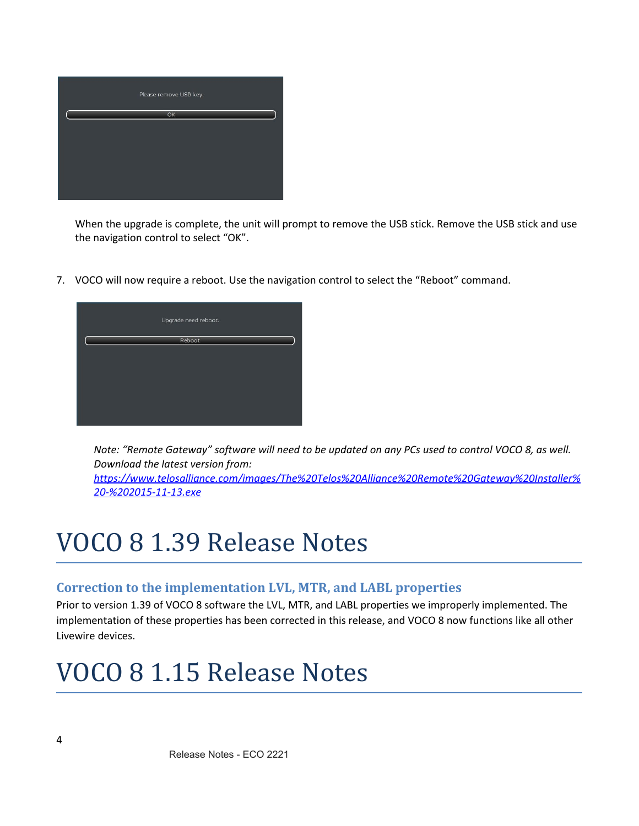

When the upgrade is complete, the unit will prompt to remove the USB stick. Remove the USB stick and use the navigation control to select "OK".

7. VOCO will now require a reboot. Use the navigation control to select the "Reboot" command.



Note: "Remote Gateway" software will need to be updated on any PCs used to control VOCO 8, as well. *Download the latest version from:*

*[https://www.telosalliance.com/images/The%20Telos%20Alliance%20Remote%20Gateway%20Installer%](https://www.telosalliance.com/images/The%20Telos%20Alliance%20Remote%20Gateway%20Installer%20-%202015-11-13.exe) [20-%202015-11-13.exe](https://www.telosalliance.com/images/The%20Telos%20Alliance%20Remote%20Gateway%20Installer%20-%202015-11-13.exe)*

## VOCO 8 1.39 Release Notes

#### **Correction to the implementation LVL, MTR, and LABL properties**

Prior to version 1.39 of VOCO 8 software the LVL, MTR, and LABL properties we improperly implemented. The implementation of these properties has been corrected in this release, and VOCO 8 now functions like all other Livewire devices.

## VOCO 8 1.15 Release Notes